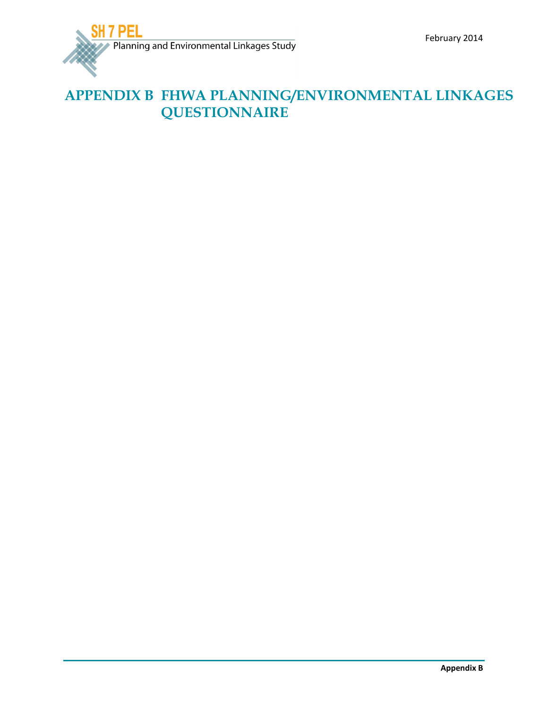

## **APPENDIX B FHWA PLANNING/ENVIRONMENTAL LINKAGES QUESTIONNAIRE**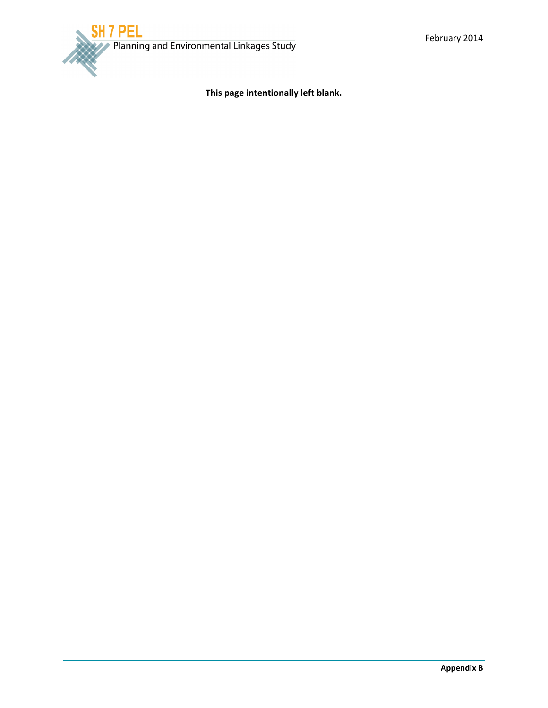

**This page intentionally left blank.**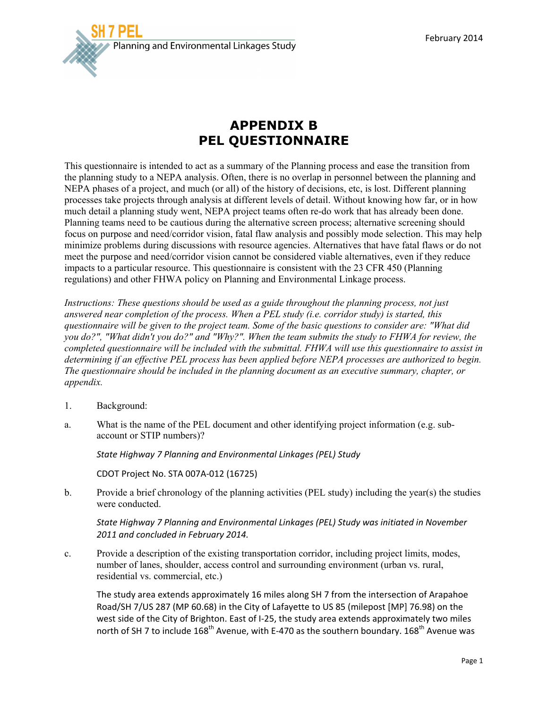February 2014



## **APPENDIX B PEL QUESTIONNAIRE**

This questionnaire is intended to act as a summary of the Planning process and ease the transition from the planning study to a NEPA analysis. Often, there is no overlap in personnel between the planning and NEPA phases of a project, and much (or all) of the history of decisions, etc, is lost. Different planning processes take projects through analysis at different levels of detail. Without knowing how far, or in how much detail a planning study went, NEPA project teams often re-do work that has already been done. Planning teams need to be cautious during the alternative screen process; alternative screening should focus on purpose and need/corridor vision, fatal flaw analysis and possibly mode selection. This may help minimize problems during discussions with resource agencies. Alternatives that have fatal flaws or do not meet the purpose and need/corridor vision cannot be considered viable alternatives, even if they reduce impacts to a particular resource. This questionnaire is consistent with the 23 CFR 450 (Planning regulations) and other FHWA policy on Planning and Environmental Linkage process.

*Instructions: These questions should be used as a guide throughout the planning process, not just answered near completion of the process. When a PEL study (i.e. corridor study) is started, this questionnaire will be given to the project team. Some of the basic questions to consider are: "What did you do?", "What didn't you do?" and "Why?". When the team submits the study to FHWA for review, the completed questionnaire will be included with the submittal. FHWA will use this questionnaire to assist in determining if an effective PEL process has been applied before NEPA processes are authorized to begin. The questionnaire should be included in the planning document as an executive summary, chapter, or appendix.*

- 1. Background:
- a. What is the name of the PEL document and other identifying project information (e.g. subaccount or STIP numbers)?

*State Highway 7 Planning and Environmental Linkages (PEL) Study*

CDOT Project No. STA 007A‐012 (16725)

b. Provide a brief chronology of the planning activities (PEL study) including the year(s) the studies were conducted.

*State Highway 7 Planning and Environmental Linkages (PEL) Study was initiated in November 2011 and concluded in February 2014.*

c. Provide a description of the existing transportation corridor, including project limits, modes, number of lanes, shoulder, access control and surrounding environment (urban vs. rural, residential vs. commercial, etc.)

The study area extends approximately 16 miles along SH 7 from the intersection of Arapahoe Road/SH 7/US 287 (MP 60.68) in the City of Lafayette to US 85 (milepost [MP] 76.98) on the west side of the City of Brighton. East of I‐25, the study area extends approximately two miles north of SH 7 to include  $168<sup>th</sup>$  Avenue, with E-470 as the southern boundary.  $168<sup>th</sup>$  Avenue was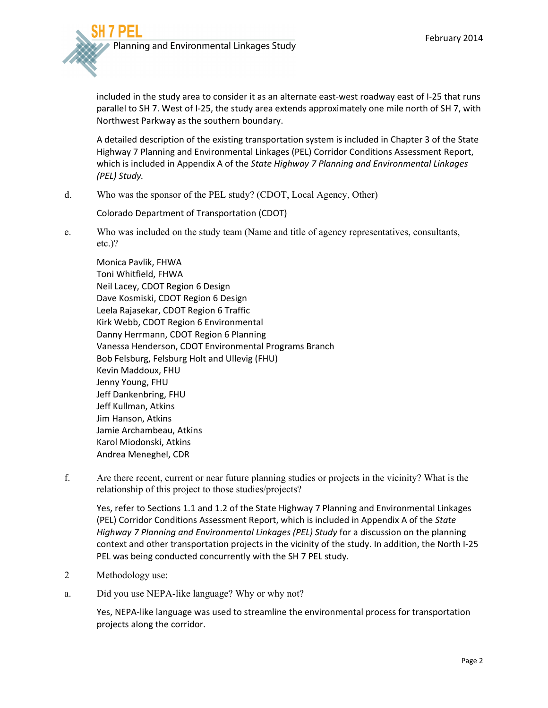

included in the study area to consider it as an alternate east‐west roadway east of I‐25 that runs parallel to SH 7. West of I‐25, the study area extends approximately one mile north of SH 7, with Northwest Parkway as the southern boundary.

A detailed description of the existing transportation system is included in Chapter 3 of the State Highway 7 Planning and Environmental Linkages (PEL) Corridor Conditions Assessment Report, which is included in Appendix A of the *State Highway 7 Planning and Environmental Linkages (PEL) Study.*

d. Who was the sponsor of the PEL study? (CDOT, Local Agency, Other)

Colorado Department of Transportation (CDOT)

e. Who was included on the study team (Name and title of agency representatives, consultants, etc.)?

Monica Pavlik, FHWA Toni Whitfield, FHWA Neil Lacey, CDOT Region 6 Design Dave Kosmiski, CDOT Region 6 Design Leela Rajasekar, CDOT Region 6 Traffic Kirk Webb, CDOT Region 6 Environmental Danny Herrmann, CDOT Region 6 Planning Vanessa Henderson, CDOT Environmental Programs Branch Bob Felsburg, Felsburg Holt and Ullevig (FHU) Kevin Maddoux, FHU Jenny Young, FHU Jeff Dankenbring, FHU Jeff Kullman, Atkins Jim Hanson, Atkins Jamie Archambeau, Atkins Karol Miodonski, Atkins Andrea Meneghel, CDR

f. Are there recent, current or near future planning studies or projects in the vicinity? What is the relationship of this project to those studies/projects?

Yes, refer to Sections 1.1 and 1.2 of the State Highway 7 Planning and Environmental Linkages (PEL) Corridor Conditions Assessment Report, which is included in Appendix A of the *State Highway 7 Planning and Environmental Linkages (PEL) Study* for a discussion on the planning context and other transportation projects in the vicinity of the study. In addition, the North I‐25 PEL was being conducted concurrently with the SH 7 PEL study.

- 2 Methodology use:
- a. Did you use NEPA-like language? Why or why not?

Yes, NEPA‐like language was used to streamline the environmental process for transportation projects along the corridor.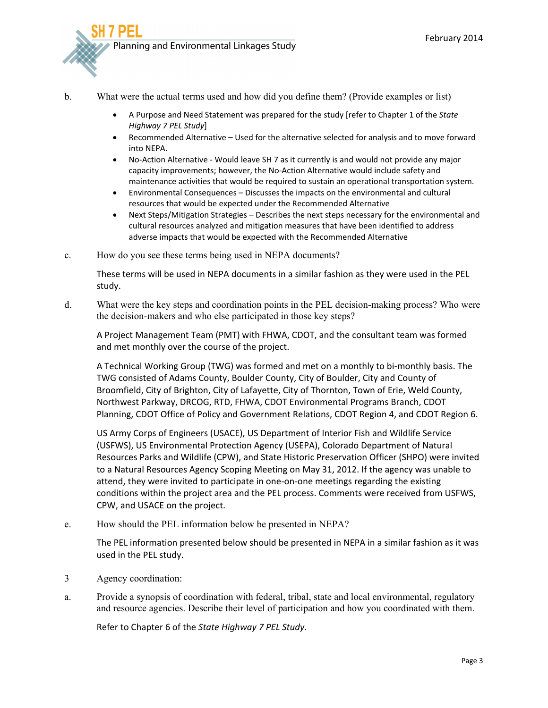

- b. What were the actual terms used and how did you define them? (Provide examples or list)
	- A Purpose and Need Statement was prepared for the study [refer to Chapter 1 of the *State Highway 7 PEL Study*]
	- Recommended Alternative Used for the alternative selected for analysis and to move forward into NEPA.
	- No-Action Alternative Would leave SH 7 as it currently is and would not provide any major capacity improvements; however, the No‐Action Alternative would include safety and maintenance activities that would be required to sustain an operational transportation system.
	- Environmental Consequences Discusses the impacts on the environmental and cultural resources that would be expected under the Recommended Alternative
	- Next Steps/Mitigation Strategies Describes the next steps necessary for the environmental and cultural resources analyzed and mitigation measures that have been identified to address adverse impacts that would be expected with the Recommended Alternative
- c. How do you see these terms being used in NEPA documents?

These terms will be used in NEPA documents in a similar fashion as they were used in the PEL study.

d. What were the key steps and coordination points in the PEL decision-making process? Who were the decision-makers and who else participated in those key steps?

A Project Management Team (PMT) with FHWA, CDOT, and the consultant team was formed and met monthly over the course of the project.

A Technical Working Group (TWG) was formed and met on a monthly to bi‐monthly basis. The TWG consisted of Adams County, Boulder County, City of Boulder, City and County of Broomfield, City of Brighton, City of Lafayette, City of Thornton, Town of Erie, Weld County, Northwest Parkway, DRCOG, RTD, FHWA, CDOT Environmental Programs Branch, CDOT Planning, CDOT Office of Policy and Government Relations, CDOT Region 4, and CDOT Region 6.

US Army Corps of Engineers (USACE), US Department of Interior Fish and Wildlife Service (USFWS), US Environmental Protection Agency (USEPA), Colorado Department of Natural Resources Parks and Wildlife (CPW), and State Historic Preservation Officer (SHPO) were invited to a Natural Resources Agency Scoping Meeting on May 31, 2012. If the agency was unable to attend, they were invited to participate in one‐on‐one meetings regarding the existing conditions within the project area and the PEL process. Comments were received from USFWS, CPW, and USACE on the project.

e. How should the PEL information below be presented in NEPA?

The PEL information presented below should be presented in NEPA in a similar fashion as it was used in the PEL study.

- 3 Agency coordination:
- a. Provide a synopsis of coordination with federal, tribal, state and local environmental, regulatory and resource agencies. Describe their level of participation and how you coordinated with them.

Refer to Chapter 6 of the *State Highway 7 PEL Study.*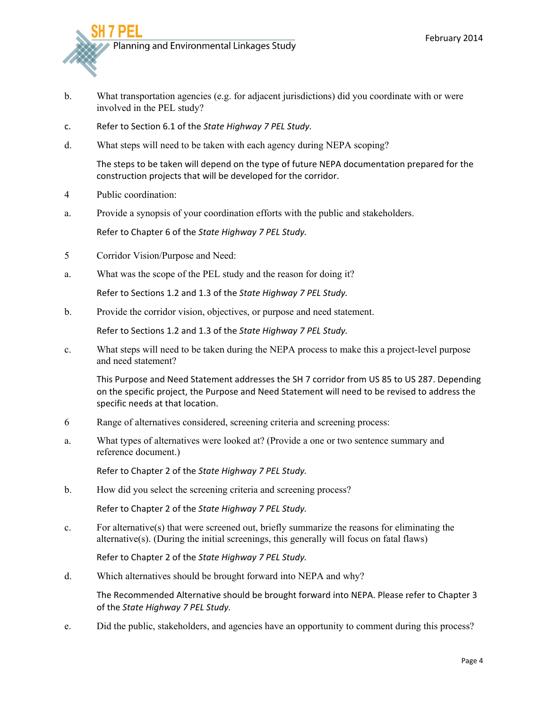



- b. What transportation agencies (e.g. for adjacent jurisdictions) did you coordinate with or were involved in the PEL study?
- c. Refer to Section 6.1 of the *State Highway 7 PEL Study.*
- d. What steps will need to be taken with each agency during NEPA scoping?

The steps to be taken will depend on the type of future NEPA documentation prepared for the construction projects that will be developed for the corridor.

- 4 Public coordination:
- a. Provide a synopsis of your coordination efforts with the public and stakeholders.

Refer to Chapter 6 of the *State Highway 7 PEL Study.*

- 5 Corridor Vision/Purpose and Need:
- a. What was the scope of the PEL study and the reason for doing it?

Refer to Sections 1.2 and 1.3 of the *State Highway 7 PEL Study.*

b. Provide the corridor vision, objectives, or purpose and need statement.

Refer to Sections 1.2 and 1.3 of the *State Highway 7 PEL Study.*

c. What steps will need to be taken during the NEPA process to make this a project-level purpose and need statement?

This Purpose and Need Statement addresses the SH 7 corridor from US 85 to US 287. Depending on the specific project, the Purpose and Need Statement will need to be revised to address the specific needs at that location.

- 6 Range of alternatives considered, screening criteria and screening process:
- a. What types of alternatives were looked at? (Provide a one or two sentence summary and reference document.)

Refer to Chapter 2 of the *State Highway 7 PEL Study.*

b. How did you select the screening criteria and screening process?

Refer to Chapter 2 of the *State Highway 7 PEL Study.*

c. For alternative(s) that were screened out, briefly summarize the reasons for eliminating the alternative(s). (During the initial screenings, this generally will focus on fatal flaws)

Refer to Chapter 2 of the *State Highway 7 PEL Study.*

d. Which alternatives should be brought forward into NEPA and why?

The Recommended Alternative should be brought forward into NEPA. Please refer to Chapter 3 of the *State Highway 7 PEL Study.*

e. Did the public, stakeholders, and agencies have an opportunity to comment during this process?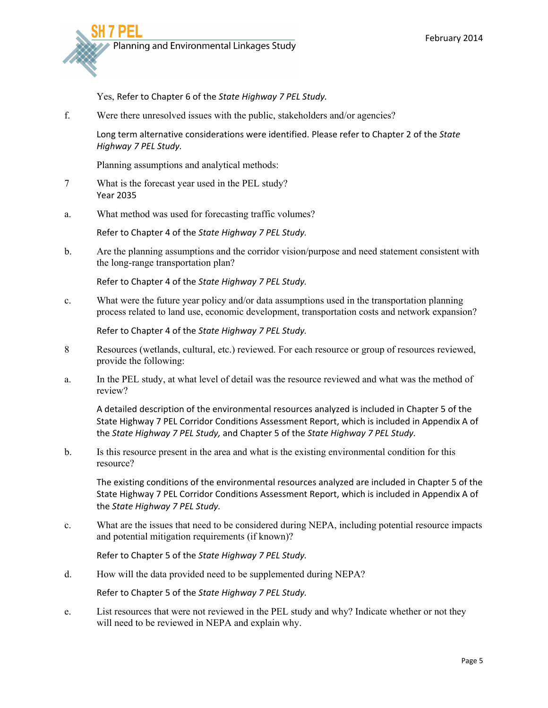

Yes, Refer to Chapter 6 of the *State Highway 7 PEL Study.*

f. Were there unresolved issues with the public, stakeholders and/or agencies?

Long term alternative considerations were identified. Please refer to Chapter 2 of the *State Highway 7 PEL Study.*

Planning assumptions and analytical methods:

- 7 What is the forecast year used in the PEL study? Year 2035
- a. What method was used for forecasting traffic volumes?

Refer to Chapter 4 of the *State Highway 7 PEL Study.*

b. Are the planning assumptions and the corridor vision/purpose and need statement consistent with the long-range transportation plan?

Refer to Chapter 4 of the *State Highway 7 PEL Study.*

c. What were the future year policy and/or data assumptions used in the transportation planning process related to land use, economic development, transportation costs and network expansion?

Refer to Chapter 4 of the *State Highway 7 PEL Study.*

- 8 Resources (wetlands, cultural, etc.) reviewed. For each resource or group of resources reviewed, provide the following:
- a. In the PEL study, at what level of detail was the resource reviewed and what was the method of review?

A detailed description of the environmental resources analyzed is included in Chapter 5 of the State Highway 7 PEL Corridor Conditions Assessment Report, which is included in Appendix A of the *State Highway 7 PEL Study,* and Chapter 5 of the *State Highway 7 PEL Study.*

b. Is this resource present in the area and what is the existing environmental condition for this resource?

The existing conditions of the environmental resources analyzed are included in Chapter 5 of the State Highway 7 PEL Corridor Conditions Assessment Report, which is included in Appendix A of the *State Highway 7 PEL Study.*

c. What are the issues that need to be considered during NEPA, including potential resource impacts and potential mitigation requirements (if known)?

Refer to Chapter 5 of the *State Highway 7 PEL Study.*

d. How will the data provided need to be supplemented during NEPA?

Refer to Chapter 5 of the *State Highway 7 PEL Study.*

e. List resources that were not reviewed in the PEL study and why? Indicate whether or not they will need to be reviewed in NEPA and explain why.